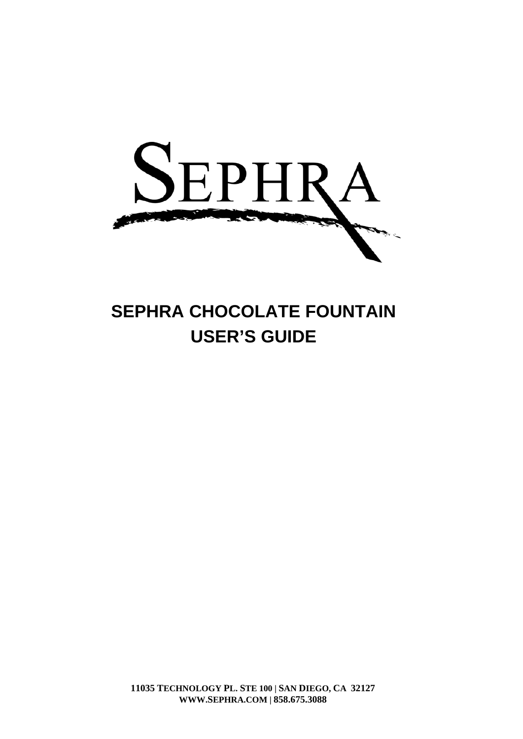

# **SEPHRA CHOCOLATE FOUNTAIN USER'S GUIDE**

0 **WWW.SEPHRA.COM | 858.675.308811035 TECHNOLOGY PL. STE 100 | SAN DIEGO, CA 32127**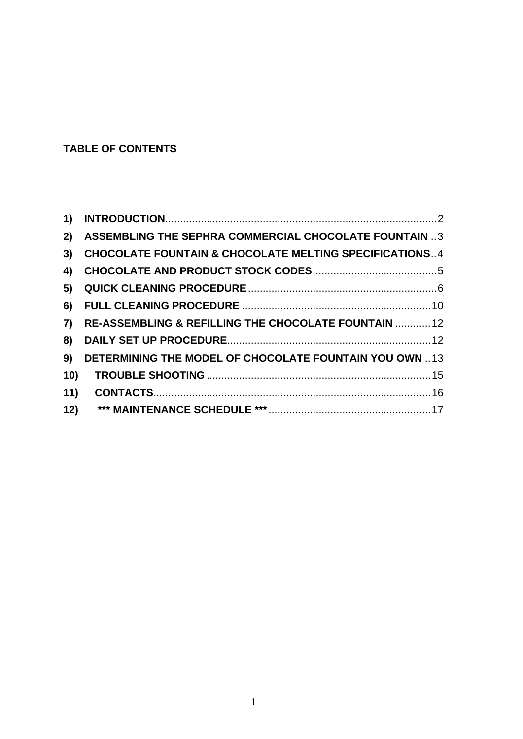# **TABLE OF CONTENTS**

| 1)  |                                                                   |
|-----|-------------------------------------------------------------------|
| 2)  | ASSEMBLING THE SEPHRA COMMERCIAL CHOCOLATE FOUNTAIN 3             |
| 3)  | <b>CHOCOLATE FOUNTAIN &amp; CHOCOLATE MELTING SPECIFICATIONS4</b> |
| 4)  |                                                                   |
| 5)  |                                                                   |
| 6)  |                                                                   |
| 7)  | RE-ASSEMBLING & REFILLING THE CHOCOLATE FOUNTAIN  12              |
| 8)  |                                                                   |
| 9)  | <b>DETERMINING THE MODEL OF CHOCOLATE FOUNTAIN YOU OWN 13</b>     |
| 10) |                                                                   |
| 11) |                                                                   |
| 12) |                                                                   |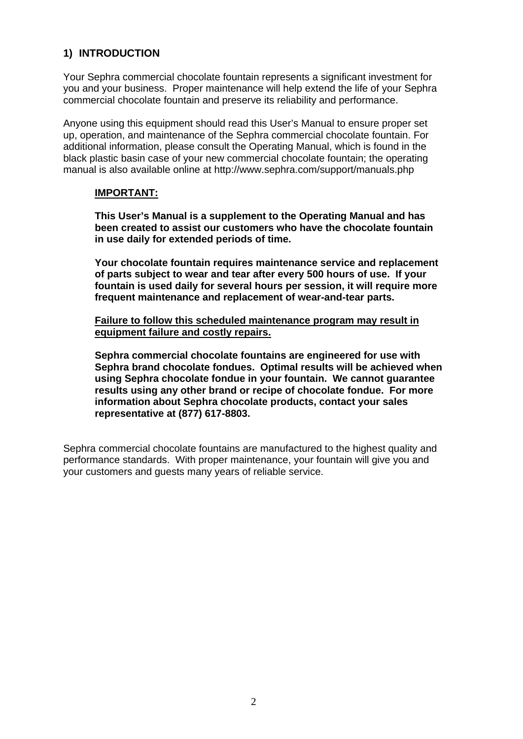# <span id="page-2-0"></span>**1) INTRODUCTION**

Your Sephra commercial chocolate fountain represents a significant investment for you and your business. Proper maintenance will help extend the life of your Sephra commercial chocolate fountain and preserve its reliability and performance.

Anyone using this equipment should read this User's Manual to ensure proper set up, operation, and maintenance of the Sephra commercial chocolate fountain. For additional information, please consult the Operating Manual, which is found in the black plastic basin case of your new commercial chocolate fountain; the operating manual is also available online at http://www.sephra.com/support/manuals.php

#### **IMPORTANT:**

**This User's Manual is a supplement to the Operating Manual and has been created to assist our customers who have the chocolate fountain in use daily for extended periods of time.** 

**Your chocolate fountain requires maintenance service and replacement of parts subject to wear and tear after every 500 hours of use. If your fountain is used daily for several hours per session, it will require more frequent maintenance and replacement of wear-and-tear parts.** 

**Failure to follow this scheduled maintenance program may result in equipment failure and costly repairs.**

**Sephra commercial chocolate fountains are engineered for use with Sephra brand chocolate fondues. Optimal results will be achieved when using Sephra chocolate fondue in your fountain. We cannot guarantee results using any other brand or recipe of chocolate fondue. For more information about Sephra chocolate products, contact your sales representative at (877) 617-8803.** 

Sephra commercial chocolate fountains are manufactured to the highest quality and performance standards. With proper maintenance, your fountain will give you and your customers and guests many years of reliable service.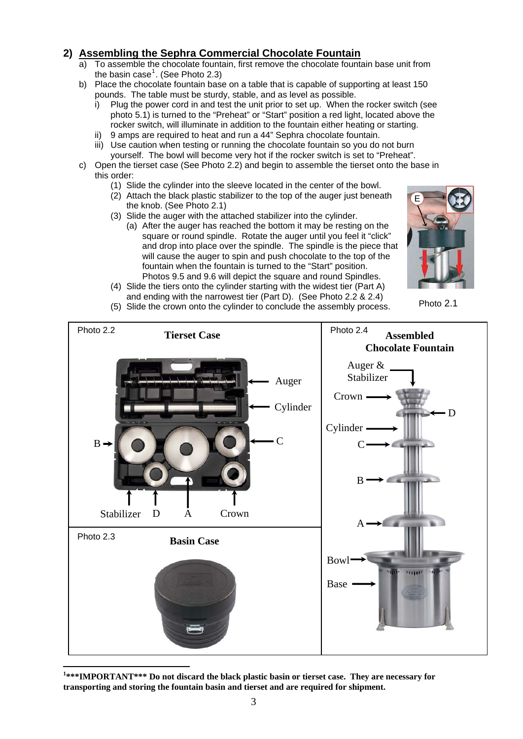# <span id="page-3-0"></span>**2) Assembling the Sephra Commercial Chocolate Fountain**

- a) To assemble the chocolate fountain, first remove the chocolate fountain base unit from the basin case<sup>[1](#page-3-1)</sup>. (See Photo 2.3)
- b) Place the chocolate fountain base on a table that is capable of supporting at least 150 pounds. The table must be sturdy, stable, and as level as possible.
	- i) Plug the power cord in and test the unit prior to set up. When the rocker switch (see photo 5.1) is turned to the "Preheat" or "Start" position a red light, located above the rocker switch, will illuminate in addition to the fountain either heating or starting.
	- 9 amps are required to heat and run a 44" Sephra chocolate fountain.
	- iii) Use caution when testing or running the chocolate fountain so you do not burn yourself. The bowl will become very hot if the rocker switch is set to "Preheat".
- c) Open the tierset case (See Photo 2.2) and begin to assemble the tierset onto the base in this order:
	- (1) Slide the cylinder into the sleeve located in the center of the bowl.
	- (2) Attach the black plastic stabilizer to the top of the auger just beneath the knob. (See Photo 2.1)
	- (3) Slide the auger with the attached stabilizer into the cylinder.
		- (a) After the auger has reached the bottom it may be resting on the square or round spindle. Rotate the auger until you feel it "click" and drop into place over the spindle. The spindle is the piece that will cause the auger to spin and push chocolate to the top of the fountain when the fountain is turned to the "Start" position. Photos 9.5 and 9.6 will depict the square and round Spindles.



(4) Slide the tiers onto the cylinder starting with the widest tier (Part A) and ending with the narrowest tier (Part D). (See Photo 2.2 & 2.4)<br>(5) Slide the crown onto the cylinder to conclude the assembly process. Photo 2.1



<span id="page-3-1"></span><sup>1</sup>\*\*\*IMPORTANT\*\*\* Do not discard the black plastic basin or tierset case. They are necessary for **transporting and storing the fountain basin and tierset and are required for shipment.**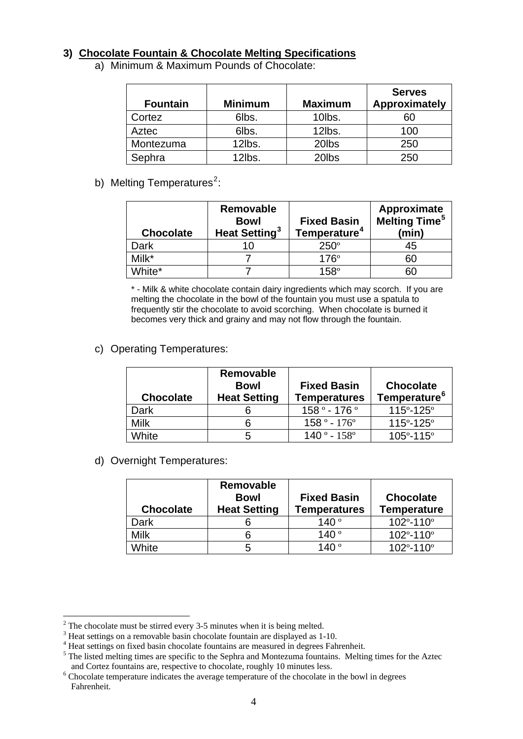## <span id="page-4-0"></span>**3) Chocolate Fountain & Chocolate Melting Specifications**

a) Minimum & Maximum Pounds of Chocolate:

| <b>Fountain</b> | <b>Minimum</b> | <b>Maximum</b> | <b>Serves</b><br>Approximately |
|-----------------|----------------|----------------|--------------------------------|
| Cortez          | 6lbs.          | 10lbs.         | 60                             |
| Aztec           | 6lbs.          | 12lbs.         | 100                            |
| Montezuma       | 12lbs.         | 20lbs          | 250                            |
| Sephra          | 12lbs.         | 20lbs          | 250                            |

b) Melting Temperatures<sup>[2](#page-4-1)</sup>:

| <b>Chocolate</b> | Removable<br><b>Bowl</b><br>Heat Setting <sup>3</sup> | <b>Fixed Basin</b><br>Temperature <sup>4</sup> | Approximate<br><b>Melting Time<sup>5</sup></b><br>(min) |
|------------------|-------------------------------------------------------|------------------------------------------------|---------------------------------------------------------|
| Dark             | 10                                                    | $250^\circ$                                    | 45                                                      |
| Milk*            |                                                       | $176^\circ$                                    | 60                                                      |
| White*           |                                                       | $158^\circ$                                    | 60                                                      |

\* - Milk & white chocolate contain dairy ingredients which may scorch. If you are melting the chocolate in the bowl of the fountain you must use a spatula to frequently stir the chocolate to avoid scorching. When chocolate is burned it becomes very thick and grainy and may not flow through the fountain.

c) Operating Temperatures:

| <b>Chocolate</b> | Removable<br><b>Bowl</b><br><b>Heat Setting</b> | <b>Fixed Basin</b><br><b>Temperatures</b> | <b>Chocolate</b><br>Temperature <sup>6</sup> |
|------------------|-------------------------------------------------|-------------------------------------------|----------------------------------------------|
| Dark             |                                                 | $158° - 176°$                             | $115^{\circ} - 125^{\circ}$                  |
| <b>Milk</b>      | 6                                               | $158° - 176°$                             | $115^{\circ} - 125^{\circ}$                  |
| White            | 5                                               | $140° - 158°$                             | $105^{\circ} - 115^{\circ}$                  |

d) Overnight Temperatures:

| <b>Chocolate</b> | Removable<br><b>Bowl</b><br><b>Heat Setting</b> | <b>Fixed Basin</b><br><b>Temperatures</b> | <b>Chocolate</b><br><b>Temperature</b> |
|------------------|-------------------------------------------------|-------------------------------------------|----------------------------------------|
| Dark             |                                                 | 140 $^{\circ}$                            | $102^{\circ} - 110^{\circ}$            |
| Milk             | 6                                               | 140°                                      | $102^{\circ} - 110^{\circ}$            |
| White            | 5                                               | 140 $^{\circ}$                            | $102^{\circ} - 110^{\circ}$            |

<sup>&</sup>lt;sup>2</sup> The chocolate must be stirred every 3-5 minutes when it is being melted.

<span id="page-4-2"></span><span id="page-4-1"></span><sup>3</sup> Heat settings on a removable basin chocolate fountain are displayed as 1-10.

<span id="page-4-3"></span><sup>&</sup>lt;sup>4</sup> Heat settings on fixed basin chocolate fountains are measured in degrees Fahrenheit.

<span id="page-4-4"></span><sup>&</sup>lt;sup>5</sup> The listed melting times are specific to the Sephra and Montezuma fountains. Melting times for the Aztec and Cortez fountains are, respective to chocolate, roughly 10 minutes less. 6

<span id="page-4-5"></span><sup>&</sup>lt;sup>6</sup> Chocolate temperature indicates the average temperature of the chocolate in the bowl in degrees Fahrenheit.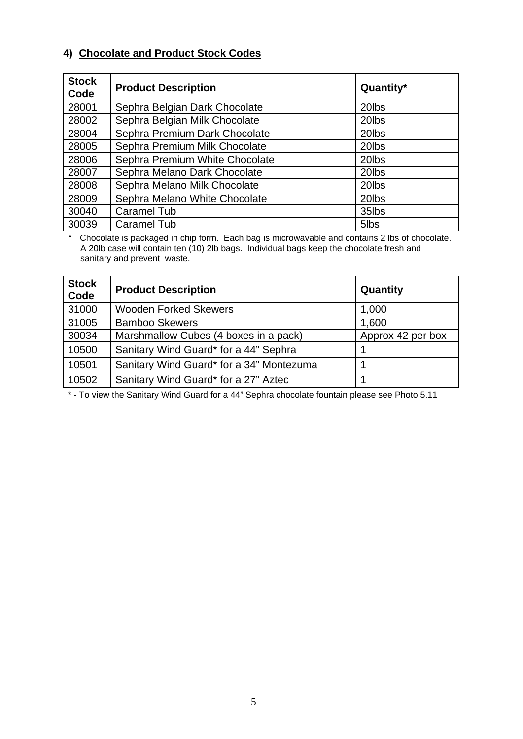# <span id="page-5-0"></span>**4) Chocolate and Product Stock Codes**

| <b>Stock</b><br>Code | <b>Product Description</b>     | Quantity*          |
|----------------------|--------------------------------|--------------------|
| 28001                | Sephra Belgian Dark Chocolate  | 20 <sub>lbs</sub>  |
| 28002                | Sephra Belgian Milk Chocolate  | 20lbs              |
| 28004                | Sephra Premium Dark Chocolate  | 20lbs              |
| 28005                | Sephra Premium Milk Chocolate  | 20 <sub>l</sub> bs |
| 28006                | Sephra Premium White Chocolate | 20 <sub>lbs</sub>  |
| 28007                | Sephra Melano Dark Chocolate   | 20lbs              |
| 28008                | Sephra Melano Milk Chocolate   | 20lbs              |
| 28009                | Sephra Melano White Chocolate  | 20 <sub>lbs</sub>  |
| 30040                | Caramel Tub                    | 35lbs              |
| 30039                | Caramel Tub                    | 5lbs               |

\* Chocolate is packaged in chip form. Each bag is microwavable and contains 2 lbs of chocolate. A 20lb case will contain ten (10) 2lb bags. Individual bags keep the chocolate fresh and sanitary and prevent waste.

| <b>Stock</b><br>Code | <b>Product Description</b>               | Quantity          |
|----------------------|------------------------------------------|-------------------|
| 31000                | <b>Wooden Forked Skewers</b>             | 1,000             |
| 31005                | <b>Bamboo Skewers</b>                    | 1,600             |
| 30034                | Marshmallow Cubes (4 boxes in a pack)    | Approx 42 per box |
| 10500                | Sanitary Wind Guard* for a 44" Sephra    |                   |
| 10501                | Sanitary Wind Guard* for a 34" Montezuma |                   |
| 10502                | Sanitary Wind Guard* for a 27" Aztec     |                   |

\* - To view the Sanitary Wind Guard for a 44" Sephra chocolate fountain please see Photo 5.11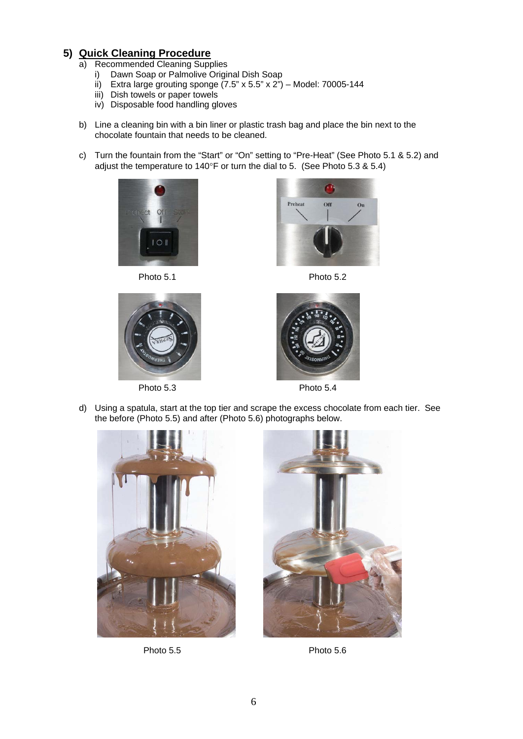# <span id="page-6-0"></span>**5) Quick Cleaning Procedure**

- a) Recommended Cleaning Supplies
	- i) Dawn Soap or Palmolive Original Dish Soap
	- ii) Extra large grouting sponge  $(7.5" \times 5.5" \times 2")$  Model: 70005-144
	- iii) Dish towels or paper towels
	- iv) Disposable food handling gloves
- b) Line a cleaning bin with a bin liner or plastic trash bag and place the bin next to the chocolate fountain that needs to be cleaned.
- c) Turn the fountain from the "Start" or "On" setting to "Pre-Heat" (See Photo 5.1 & 5.2) and adjust the temperature to 140°F or turn the dial to 5. (See Photo 5.3 & 5.4)







Photo 5.3 Photo 5.4





d) Using a spatula, start at the top tier and scrape the excess chocolate from each tier. See the before (Photo 5.5) and after (Photo 5.6) photographs below.





Photo 5.5 Photo 5.6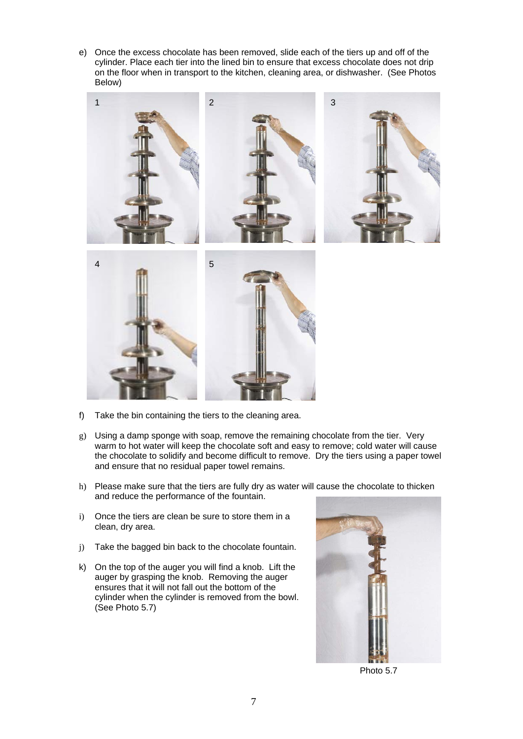e) Once the excess chocolate has been removed, slide each of the tiers up and off of the cylinder. Place each tier into the lined bin to ensure that excess chocolate does not drip on the floor when in transport to the kitchen, cleaning area, or dishwasher. (See Photos Below)



- f) Take the bin containing the tiers to the cleaning area.
- g) Using a damp sponge with soap, remove the remaining chocolate from the tier. Very warm to hot water will keep the chocolate soft and easy to remove; cold water will cause the chocolate to solidify and become difficult to remove. Dry the tiers using a paper towel and ensure that no residual paper towel remains.
- h) Please make sure that the tiers are fully dry as water will cause the chocolate to thicken and reduce the performance of the fountain.
- i) Once the tiers are clean be sure to store them in a clean, dry area.
- j) Take the bagged bin back to the chocolate fountain.
- k) On the top of the auger you will find a knob. Lift the auger by grasping the knob. Removing the auger ensures that it will not fall out the bottom of the cylinder when the cylinder is removed from the bowl. (See Photo 5.7)



Photo 5.7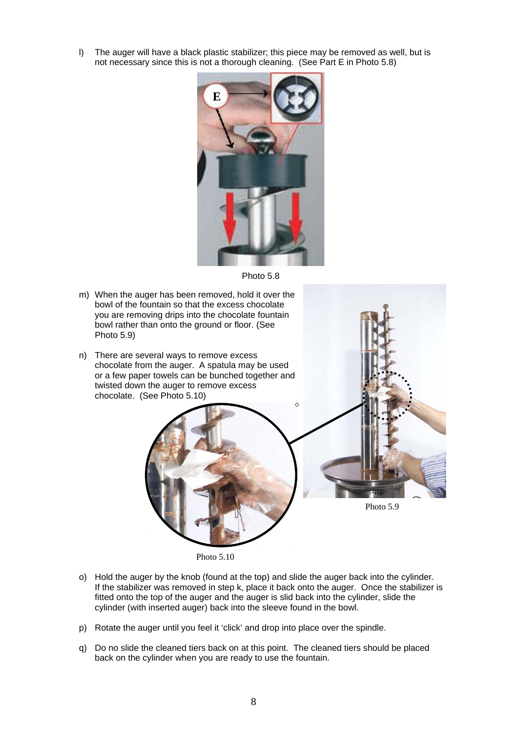l) The auger will have a black plastic stabilizer; this piece may be removed as well, but is not necessary since this is not a thorough cleaning. (See Part E in Photo 5.8)



Photo 5.8

- m) When the auger has been removed, hold it over the bowl of the fountain so that the excess chocolate you are removing drips into the chocolate fountain bowl rather than onto the ground or floor. (See Photo 5.9)
- n) There are several ways to remove excess chocolate from the auger. A spatula may be used or a few paper towels can be bunched together and twisted down the auger to remove excess chocolate. (See Photo 5.10)



Photo 5.10

- o) Hold the auger by the knob (found at the top) and slide the auger back into the cylinder. If the stabilizer was removed in step k, place it back onto the auger. Once the stabilizer is fitted onto the top of the auger and the auger is slid back into the cylinder, slide the cylinder (with inserted auger) back into the sleeve found in the bowl.
- p) Rotate the auger until you feel it 'click' and drop into place over the spindle.
- q) Do no slide the cleaned tiers back on at this point. The cleaned tiers should be placed back on the cylinder when you are ready to use the fountain.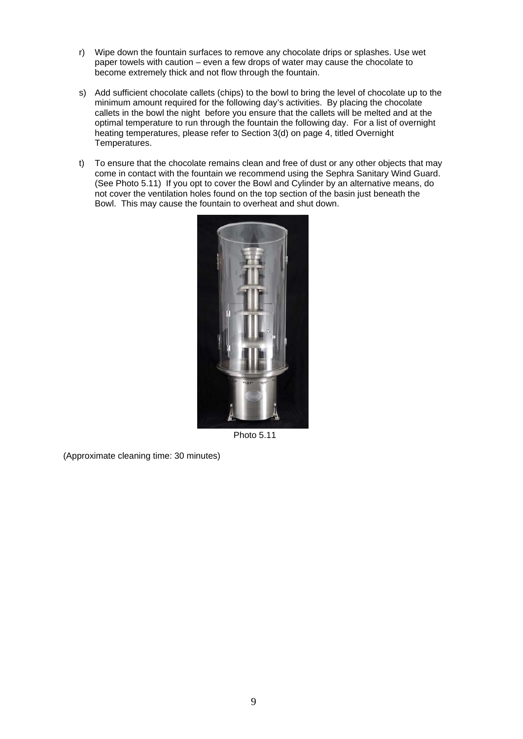- r) Wipe down the fountain surfaces to remove any chocolate drips or splashes. Use wet paper towels with caution – even a few drops of water may cause the chocolate to become extremely thick and not flow through the fountain.
- s) Add sufficient chocolate callets (chips) to the bowl to bring the level of chocolate up to the minimum amount required for the following day's activities. By placing the chocolate callets in the bowl the night before you ensure that the callets will be melted and at the optimal temperature to run through the fountain the following day. For a list of overnight heating temperatures, please refer to Section 3(d) on page 4, titled Overnight Temperatures.
- t) To ensure that the chocolate remains clean and free of dust or any other objects that may come in contact with the fountain we recommend using the Sephra Sanitary Wind Guard. (See Photo 5.11) If you opt to cover the Bowl and Cylinder by an alternative means, do not cover the ventilation holes found on the top section of the basin just beneath the Bowl. This may cause the fountain to overheat and shut down.



Photo 5.11

(Approximate cleaning time: 30 minutes)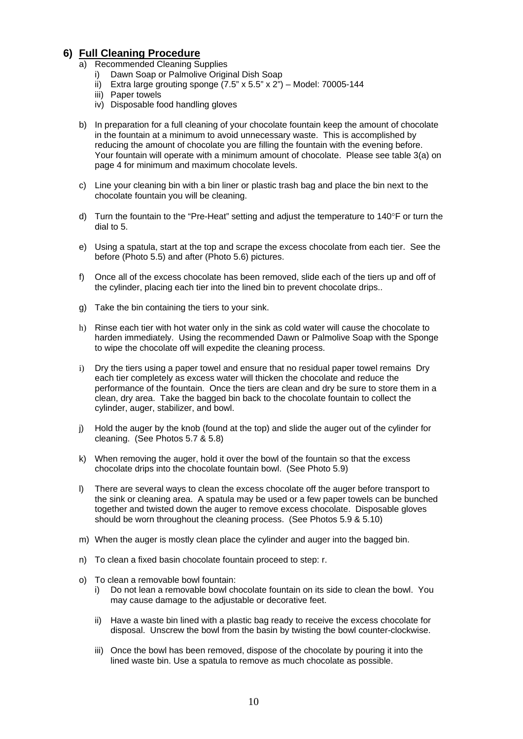## <span id="page-10-0"></span>**6) Full Cleaning Procedure**

- a) Recommended Cleaning Supplies
	- i) Dawn Soap or Palmolive Original Dish Soap
	- ii) Extra large grouting sponge  $(7.5" \times 5.5" \times 2")$  Model: 70005-144
	- iii) Paper towels
	- iv) Disposable food handling gloves
- b) In preparation for a full cleaning of your chocolate fountain keep the amount of chocolate in the fountain at a minimum to avoid unnecessary waste. This is accomplished by reducing the amount of chocolate you are filling the fountain with the evening before. Your fountain will operate with a minimum amount of chocolate. Please see table 3(a) on page 4 for minimum and maximum chocolate levels.
- c) Line your cleaning bin with a bin liner or plastic trash bag and place the bin next to the chocolate fountain you will be cleaning.
- d) Turn the fountain to the "Pre-Heat" setting and adjust the temperature to  $140^{\circ}$ F or turn the dial to 5.
- e) Using a spatula, start at the top and scrape the excess chocolate from each tier. See the before (Photo 5.5) and after (Photo 5.6) pictures.
- f) Once all of the excess chocolate has been removed, slide each of the tiers up and off of the cylinder, placing each tier into the lined bin to prevent chocolate drips..
- g) Take the bin containing the tiers to your sink.
- h) Rinse each tier with hot water only in the sink as cold water will cause the chocolate to harden immediately. Using the recommended Dawn or Palmolive Soap with the Sponge to wipe the chocolate off will expedite the cleaning process.
- i) Dry the tiers using a paper towel and ensure that no residual paper towel remains Dry each tier completely as excess water will thicken the chocolate and reduce the performance of the fountain. Once the tiers are clean and dry be sure to store them in a clean, dry area. Take the bagged bin back to the chocolate fountain to collect the cylinder, auger, stabilizer, and bowl.
- j) Hold the auger by the knob (found at the top) and slide the auger out of the cylinder for cleaning. (See Photos 5.7 & 5.8)
- k) When removing the auger, hold it over the bowl of the fountain so that the excess chocolate drips into the chocolate fountain bowl. (See Photo 5.9)
- l) There are several ways to clean the excess chocolate off the auger before transport to the sink or cleaning area. A spatula may be used or a few paper towels can be bunched together and twisted down the auger to remove excess chocolate. Disposable gloves should be worn throughout the cleaning process. (See Photos 5.9 & 5.10)
- m) When the auger is mostly clean place the cylinder and auger into the bagged bin.
- n) To clean a fixed basin chocolate fountain proceed to step: r.
- o) To clean a removable bowl fountain:
	- i) Do not lean a removable bowl chocolate fountain on its side to clean the bowl. You may cause damage to the adjustable or decorative feet.
	- ii) Have a waste bin lined with a plastic bag ready to receive the excess chocolate for disposal. Unscrew the bowl from the basin by twisting the bowl counter-clockwise.
	- iii) Once the bowl has been removed, dispose of the chocolate by pouring it into the lined waste bin. Use a spatula to remove as much chocolate as possible.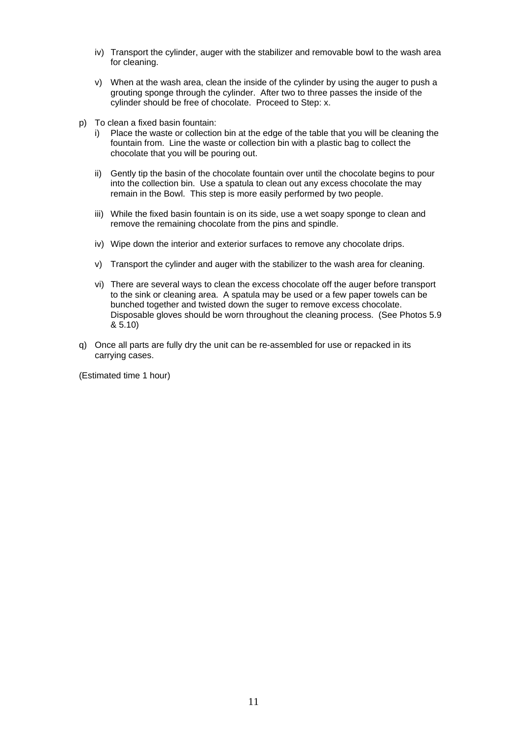- iv) Transport the cylinder, auger with the stabilizer and removable bowl to the wash area for cleaning.
- v) When at the wash area, clean the inside of the cylinder by using the auger to push a grouting sponge through the cylinder. After two to three passes the inside of the cylinder should be free of chocolate. Proceed to Step: x.
- p) To clean a fixed basin fountain:
	- Place the waste or collection bin at the edge of the table that you will be cleaning the fountain from. Line the waste or collection bin with a plastic bag to collect the chocolate that you will be pouring out.
	- ii) Gently tip the basin of the chocolate fountain over until the chocolate begins to pour into the collection bin. Use a spatula to clean out any excess chocolate the may remain in the Bowl. This step is more easily performed by two people.
	- iii) While the fixed basin fountain is on its side, use a wet soapy sponge to clean and remove the remaining chocolate from the pins and spindle.
	- iv) Wipe down the interior and exterior surfaces to remove any chocolate drips.
	- v) Transport the cylinder and auger with the stabilizer to the wash area for cleaning.
	- vi) There are several ways to clean the excess chocolate off the auger before transport to the sink or cleaning area. A spatula may be used or a few paper towels can be bunched together and twisted down the suger to remove excess chocolate. Disposable gloves should be worn throughout the cleaning process. (See Photos 5.9 & 5.10)
- q) Once all parts are fully dry the unit can be re-assembled for use or repacked in its carrying cases.

(Estimated time 1 hour)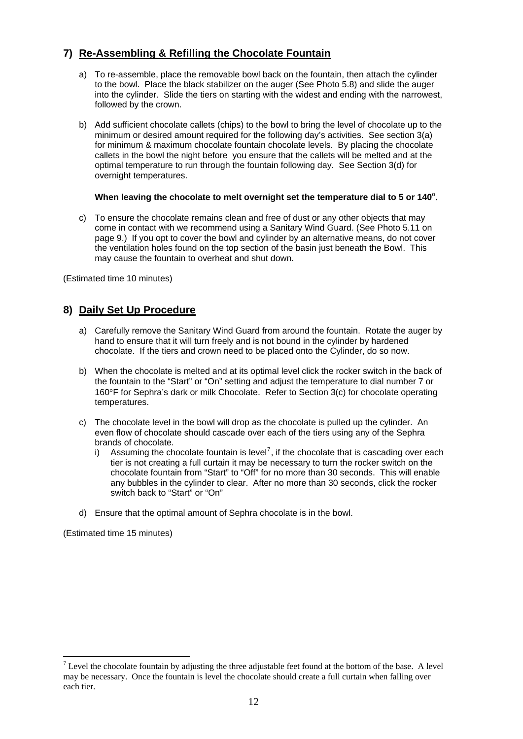# <span id="page-12-0"></span>**7) Re-Assembling & Refilling the Chocolate Fountain**

- a) To re-assemble, place the removable bowl back on the fountain, then attach the cylinder to the bowl. Place the black stabilizer on the auger (See Photo 5.8) and slide the auger into the cylinder. Slide the tiers on starting with the widest and ending with the narrowest, followed by the crown.
- b) Add sufficient chocolate callets (chips) to the bowl to bring the level of chocolate up to the minimum or desired amount required for the following day's activities. See section 3(a) for minimum & maximum chocolate fountain chocolate levels. By placing the chocolate callets in the bowl the night before you ensure that the callets will be melted and at the optimal temperature to run through the fountain following day. See Section 3(d) for overnight temperatures.

#### **When leaving the chocolate to melt overnight set the temperature dial to 5 or 140**º.

c) To ensure the chocolate remains clean and free of dust or any other objects that may come in contact with we recommend using a Sanitary Wind Guard. (See Photo 5.11 on page 9.) If you opt to cover the bowl and cylinder by an alternative means, do not cover the ventilation holes found on the top section of the basin just beneath the Bowl. This may cause the fountain to overheat and shut down.

(Estimated time 10 minutes)

#### **8) Daily Set Up Procedure**

- a) Carefully remove the Sanitary Wind Guard from around the fountain. Rotate the auger by hand to ensure that it will turn freely and is not bound in the cylinder by hardened chocolate. If the tiers and crown need to be placed onto the Cylinder, do so now.
- b) When the chocolate is melted and at its optimal level click the rocker switch in the back of the fountain to the "Start" or "On" setting and adjust the temperature to dial number 7 or 160°F for Sephra's dark or milk Chocolate. Refer to Section 3(c) for chocolate operating temperatures.
- c) The chocolate level in the bowl will drop as the chocolate is pulled up the cylinder. An even flow of chocolate should cascade over each of the tiers using any of the Sephra brands of chocolate.
	- i) Assuming the chocolate fountain is level<sup>[7](#page-12-1)</sup>, if the chocolate that is cascading over each tier is not creating a full curtain it may be necessary to turn the rocker switch on the chocolate fountain from "Start" to "Off" for no more than 30 seconds. This will enable any bubbles in the cylinder to clear. After no more than 30 seconds, click the rocker switch back to "Start" or "On"
- d) Ensure that the optimal amount of Sephra chocolate is in the bowl.

(Estimated time 15 minutes)

<span id="page-12-1"></span><sup>1</sup> <sup>7</sup> Level the chocolate fountain by adjusting the three adjustable feet found at the bottom of the base. A level may be necessary. Once the fountain is level the chocolate should create a full curtain when falling over each tier.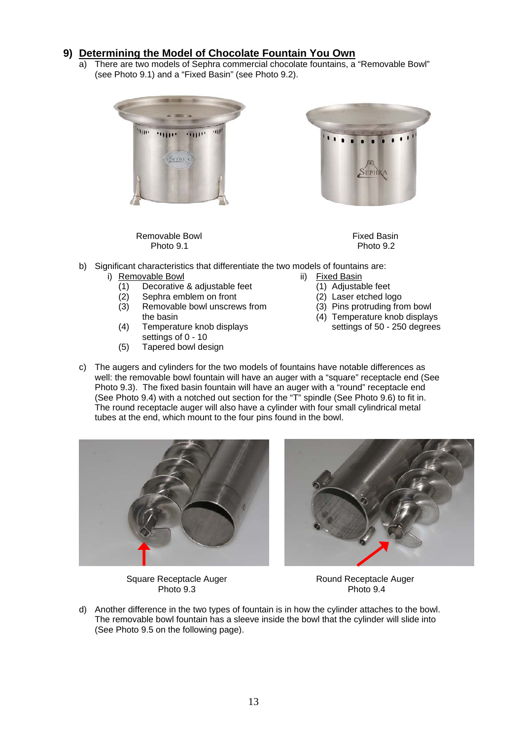## <span id="page-13-0"></span>**9) Determining the Model of Chocolate Fountain You Own**

a) There are two models of Sephra commercial chocolate fountains, a "Removable Bowl" (see Photo 9.1) and a "Fixed Basin" (see Photo 9.2).



Removable Bowl **Fixed Basin** Photo 9.1 Photo 9.2



- b) Significant characteristics that differentiate the two models of fountains are:
	- i) Removable Bowl<br>(1) Decorative
		- Decorative & adjustable feet
		- (2) Sephra emblem on front
		- (3) Removable bowl unscrews from the basin
		- (4) Temperature knob displays settings of 0 - 10
		- (5) Tapered bowl design
- ii) Fixed Basin
	- (1) Adjustable feet
	- (2) Laser etched logo
	- (3) Pins protruding from bowl
	- (4) Temperature knob displays
		- settings of 50 250 degrees
- c) The augers and cylinders for the two models of fountains have notable differences as well: the removable bowl fountain will have an auger with a "square" receptacle end (See Photo 9.3). The fixed basin fountain will have an auger with a "round" receptacle end (See Photo 9.4) with a notched out section for the "T" spindle (See Photo 9.6) to fit in. The round receptacle auger will also have a cylinder with four small cylindrical metal tubes at the end, which mount to the four pins found in the bowl.





Square Receptacle Auger **Round Receptacle Auger** Round Receptacle Auger Photo 9.3 Photo 9.4

d) Another difference in the two types of fountain is in how the cylinder attaches to the bowl. The removable bowl fountain has a sleeve inside the bowl that the cylinder will slide into (See Photo 9.5 on the following page).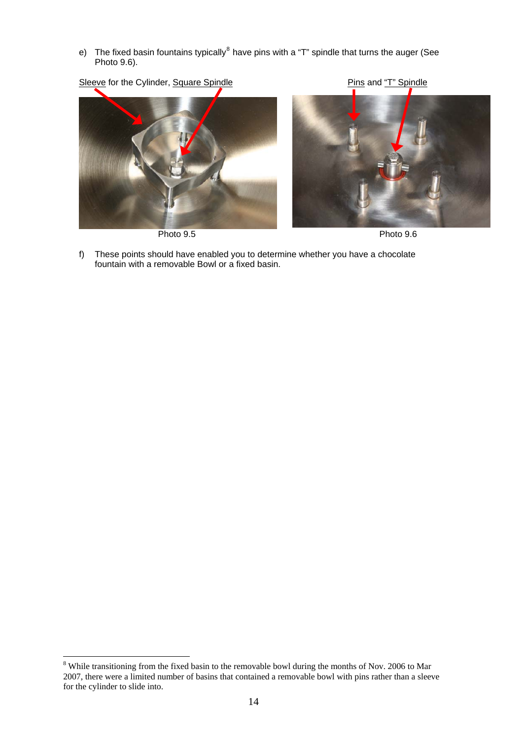e) The fixed basin fountains typically $^8$  $^8$  have pins with a "T" spindle that turns the auger (See Photo 9.6).







f) These points should have enabled you to determine whether you have a chocolate fountain with a removable Bowl or a fixed basin.

1

<span id="page-14-0"></span><sup>&</sup>lt;sup>8</sup> While transitioning from the fixed basin to the removable bowl during the months of Nov. 2006 to Mar 2007, there were a limited number of basins that contained a removable bowl with pins rather than a sleeve for the cylinder to slide into.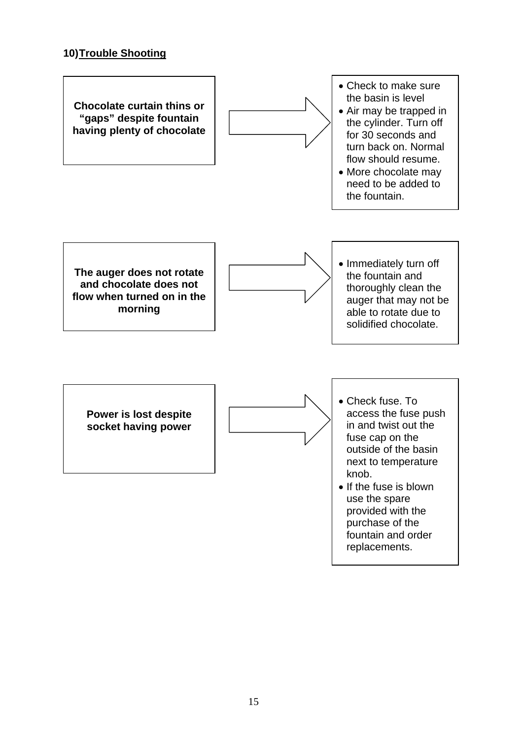# **10) Trouble Shooting**

<span id="page-15-0"></span>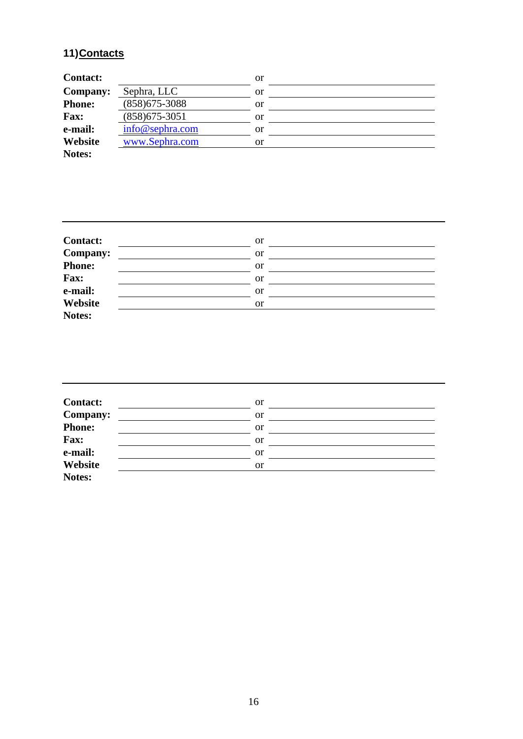# <span id="page-16-0"></span>**11) Contacts**

| <b>Contact:</b> |                   | or |  |
|-----------------|-------------------|----|--|
| <b>Company:</b> | Sephra, LLC       | or |  |
| <b>Phone:</b>   | $(858)$ 675-3088  | or |  |
| Fax:            | $(858)675 - 3051$ | or |  |
| e-mail:         | info@sephra.com   | or |  |
| Website         | www.Sephra.com    | or |  |
| Notes:          |                   |    |  |

| <b>Contact:</b> | <b>or</b> |
|-----------------|-----------|
| Company:        | <b>or</b> |
| Phone:          | <b>or</b> |
| Fax:            | <b>or</b> |
| e-mail:         | <b>or</b> |
| Website         | <b>or</b> |
| Notes:          |           |

| <b>Contact:</b> | <sub>or</sub> |  |
|-----------------|---------------|--|
| <b>Company:</b> | <b>or</b>     |  |
| Phone:          | <b>or</b>     |  |
| Fax:            | <b>or</b>     |  |
| e-mail:         | <sub>or</sub> |  |
| Website         | <b>or</b>     |  |
| Notes:          |               |  |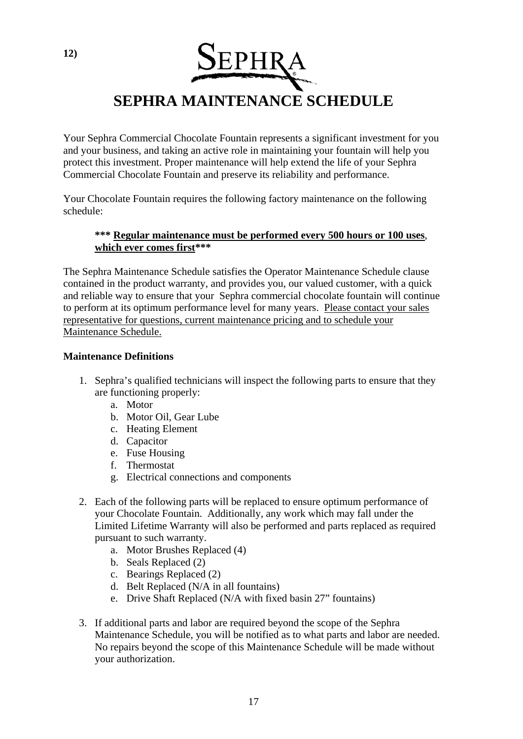<span id="page-17-0"></span>

Your Sephra Commercial Chocolate Fountain represents a significant investment for you and your business, and taking an active role in maintaining your fountain will help you protect this investment. Proper maintenance will help extend the life of your Sephra Commercial Chocolate Fountain and preserve its reliability and performance.

Your Chocolate Fountain requires the following factory maintenance on the following schedule:

#### **\*\*\* Regular maintenance must be performed every 500 hours or 100 uses**, **which ever comes first\*\*\***

The Sephra Maintenance Schedule satisfies the Operator Maintenance Schedule clause contained in the product warranty, and provides you, our valued customer, with a quick and reliable way to ensure that your Sephra commercial chocolate fountain will continue to perform at its optimum performance level for many years. Please contact your sales representative for questions, current maintenance pricing and to schedule your Maintenance Schedule.

#### **Maintenance Definitions**

- 1. Sephra's qualified technicians will inspect the following parts to ensure that they are functioning properly:
	- a. Motor
	- b. Motor Oil, Gear Lube
	- c. Heating Element
	- d. Capacitor
	- e. Fuse Housing
	- f. Thermostat
	- g. Electrical connections and components
- 2. Each of the following parts will be replaced to ensure optimum performance of your Chocolate Fountain. Additionally, any work which may fall under the Limited Lifetime Warranty will also be performed and parts replaced as required pursuant to such warranty.
	- a. Motor Brushes Replaced (4)
	- b. Seals Replaced (2)
	- c. Bearings Replaced (2)
	- d. Belt Replaced (N/A in all fountains)
	- e. Drive Shaft Replaced (N/A with fixed basin 27" fountains)
- 3. If additional parts and labor are required beyond the scope of the Sephra Maintenance Schedule, you will be notified as to what parts and labor are needed. No repairs beyond the scope of this Maintenance Schedule will be made without your authorization.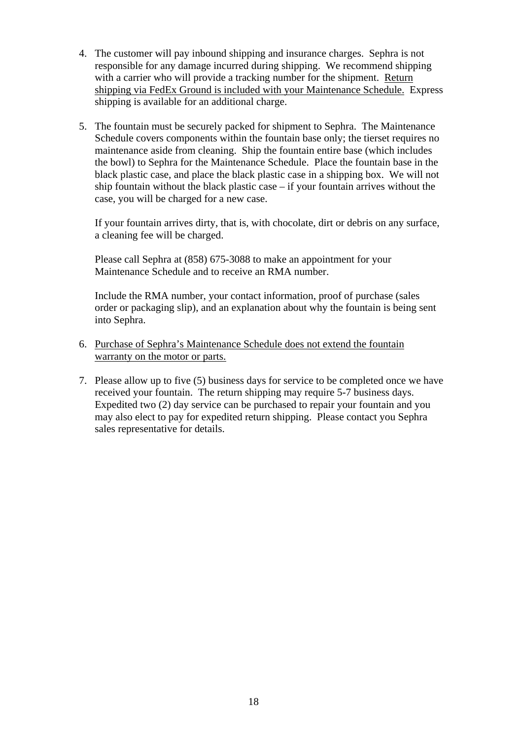- 4. The customer will pay inbound shipping and insurance charges. Sephra is not responsible for any damage incurred during shipping. We recommend shipping with a carrier who will provide a tracking number for the shipment. Return shipping via FedEx Ground is included with your Maintenance Schedule. Express shipping is available for an additional charge.
- 5. The fountain must be securely packed for shipment to Sephra. The Maintenance Schedule covers components within the fountain base only; the tierset requires no maintenance aside from cleaning. Ship the fountain entire base (which includes the bowl) to Sephra for the Maintenance Schedule. Place the fountain base in the black plastic case, and place the black plastic case in a shipping box. We will not ship fountain without the black plastic case – if your fountain arrives without the case, you will be charged for a new case.

If your fountain arrives dirty, that is, with chocolate, dirt or debris on any surface, a cleaning fee will be charged.

Please call Sephra at (858) 675-3088 to make an appointment for your Maintenance Schedule and to receive an RMA number.

Include the RMA number, your contact information, proof of purchase (sales order or packaging slip), and an explanation about why the fountain is being sent into Sephra.

- 6. Purchase of Sephra's Maintenance Schedule does not extend the fountain warranty on the motor or parts.
- 7. Please allow up to five (5) business days for service to be completed once we have received your fountain. The return shipping may require 5-7 business days. Expedited two (2) day service can be purchased to repair your fountain and you may also elect to pay for expedited return shipping. Please contact you Sephra sales representative for details.